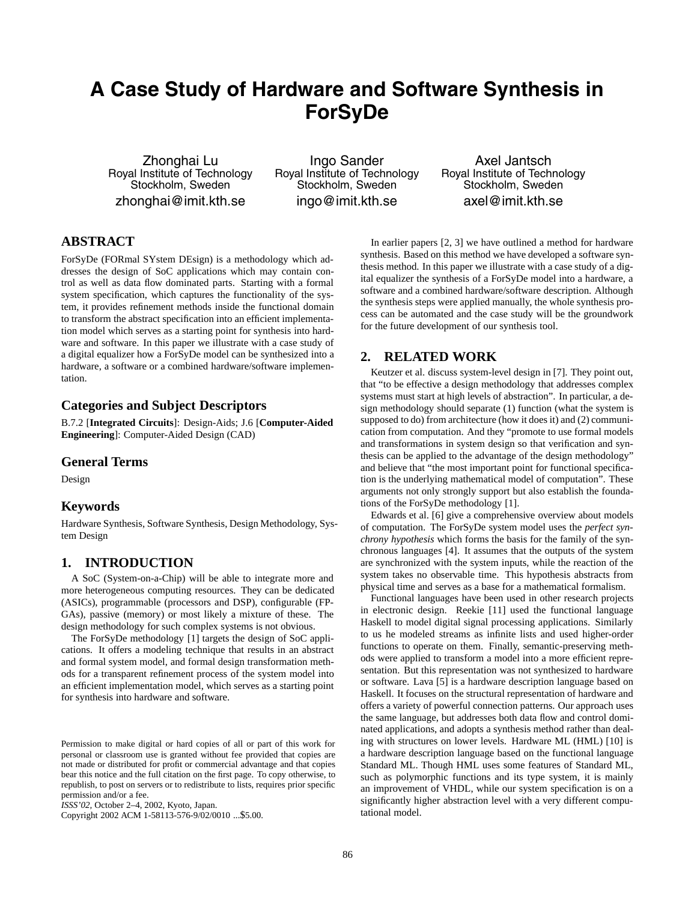# **A Case Study of Hardware and Software Synthesis in ForSyDe**

Zhonghai Lu Royal Institute of Technology Stockholm, Sweden zhonghai@imit.kth.se

Ingo Sander Royal Institute of Technology Stockholm, Sweden ingo@imit.kth.se

Axel Jantsch Royal Institute of Technology Stockholm, Sweden axel@imit.kth.se

# **ABSTRACT**

ForSyDe (FORmal SYstem DEsign) is a methodology which addresses the design of SoC applications which may contain control as well as data flow dominated parts. Starting with a formal system specification, which captures the functionality of the system, it provides refinement methods inside the functional domain to transform the abstract specification into an efficient implementation model which serves as a starting point for synthesis into hardware and software. In this paper we illustrate with a case study of a digital equalizer how a ForSyDe model can be synthesized into a hardware, a software or a combined hardware/software implementation.

#### **Categories and Subject Descriptors**

B.7.2 [**Integrated Circuits**]: Design-Aids; J.6 [**Computer-Aided Engineering**]: Computer-Aided Design (CAD)

#### **General Terms**

Design

#### **Keywords**

Hardware Synthesis, Software Synthesis, Design Methodology, System Design

# **1. INTRODUCTION**

A SoC (System-on-a-Chip) will be able to integrate more and more heterogeneous computing resources. They can be dedicated (ASICs), programmable (processors and DSP), configurable (FP-GAs), passive (memory) or most likely a mixture of these. The design methodology for such complex systems is not obvious.

The ForSyDe methodology [1] targets the design of SoC applications. It offers a modeling technique that results in an abstract and formal system model, and formal design transformation methods for a transparent refinement process of the system model into an efficient implementation model, which serves as a starting point for synthesis into hardware and software.

*ISSS'02,* October 2–4, 2002, Kyoto, Japan.

Copyright 2002 ACM 1-58113-576-9/02/0010 ...\$5.00.

In earlier papers [2, 3] we have outlined a method for hardware synthesis. Based on this method we have developed a software synthesis method. In this paper we illustrate with a case study of a digital equalizer the synthesis of a ForSyDe model into a hardware, a software and a combined hardware/software description. Although the synthesis steps were applied manually, the whole synthesis process can be automated and the case study will be the groundwork for the future development of our synthesis tool.

# **2. RELATED WORK**

Keutzer et al. discuss system-level design in [7]. They point out, that "to be effective a design methodology that addresses complex systems must start at high levels of abstraction". In particular, a design methodology should separate (1) function (what the system is supposed to do) from architecture (how it does it) and (2) communication from computation. And they "promote to use formal models and transformations in system design so that verification and synthesis can be applied to the advantage of the design methodology" and believe that "the most important point for functional specification is the underlying mathematical model of computation". These arguments not only strongly support but also establish the foundations of the ForSyDe methodology [1].

Edwards et al. [6] give a comprehensive overview about models of computation. The ForSyDe system model uses the *perfect synchrony hypothesis* which forms the basis for the family of the synchronous languages [4]. It assumes that the outputs of the system are synchronized with the system inputs, while the reaction of the system takes no observable time. This hypothesis abstracts from physical time and serves as a base for a mathematical formalism.

Functional languages have been used in other research projects in electronic design. Reekie [11] used the functional language Haskell to model digital signal processing applications. Similarly to us he modeled streams as infinite lists and used higher-order functions to operate on them. Finally, semantic-preserving methods were applied to transform a model into a more efficient representation. But this representation was not synthesized to hardware or software. Lava [5] is a hardware description language based on Haskell. It focuses on the structural representation of hardware and offers a variety of powerful connection patterns. Our approach uses the same language, but addresses both data flow and control dominated applications, and adopts a synthesis method rather than dealing with structures on lower levels. Hardware ML (HML) [10] is a hardware description language based on the functional language Standard ML. Though HML uses some features of Standard ML, such as polymorphic functions and its type system, it is mainly an improvement of VHDL, while our system specification is on a significantly higher abstraction level with a very different computational model.

Permission to make digital or hard copies of all or part of this work for personal or classroom use is granted without fee provided that copies are not made or distributed for profit or commercial advantage and that copies bear this notice and the full citation on the first page. To copy otherwise, to republish, to post on servers or to redistribute to lists, requires prior specific permission and/or a fee.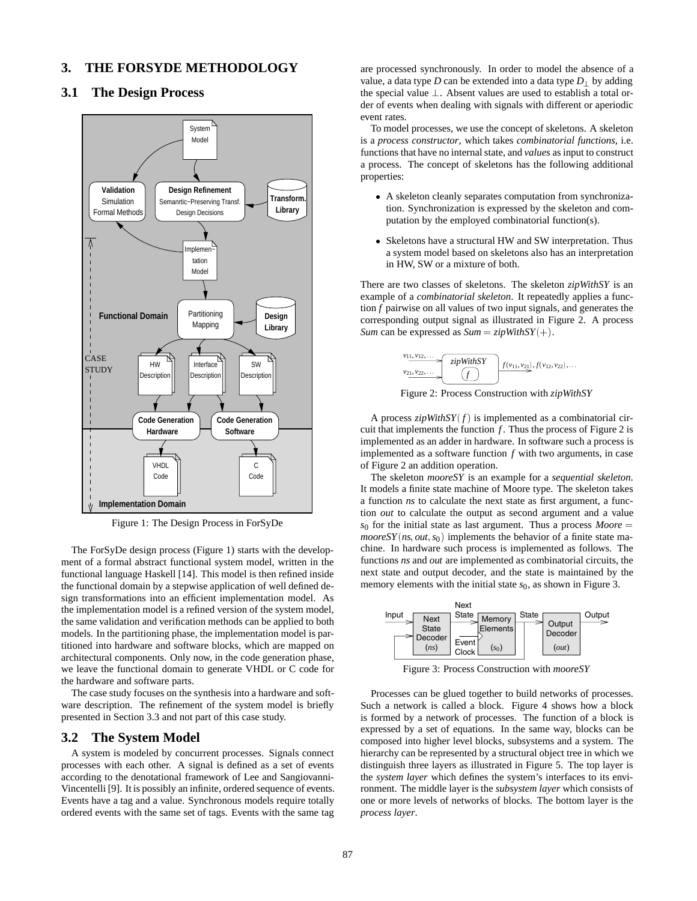## **3. THE FORSYDE METHODOLOGY**

## **3.1 The Design Process**



Figure 1: The Design Process in ForSyDe

The ForSyDe design process (Figure 1) starts with the development of a formal abstract functional system model, written in the functional language Haskell [14]. This model is then refined inside the functional domain by a stepwise application of well defined design transformations into an efficient implementation model. As the implementation model is a refined version of the system model, the same validation and verification methods can be applied to both models. In the partitioning phase, the implementation model is partitioned into hardware and software blocks, which are mapped on architectural components. Only now, in the code generation phase, we leave the functional domain to generate VHDL or C code for the hardware and software parts.

The case study focuses on the synthesis into a hardware and software description. The refinement of the system model is briefly presented in Section 3.3 and not part of this case study.

#### **3.2 The System Model**

A system is modeled by concurrent processes. Signals connect processes with each other. A signal is defined as a set of events according to the denotational framework of Lee and Sangiovanni-Vincentelli [9]. It is possibly an infinite, ordered sequence of events. Events have a tag and a value. Synchronous models require totally ordered events with the same set of tags. Events with the same tag are processed synchronously. In order to model the absence of a value, a data type *D* can be extended into a data type  $D_{\perp}$  by adding the special value  $\perp$ . Absent values are used to establish a total order of events when dealing with signals with different or aperiodic event rates.

To model processes, we use the concept of skeletons. A skeleton is a *process constructor*, which takes *combinatorial functions*, i.e. functions that have no internal state, and *values* as input to construct a process. The concept of skeletons has the following additional properties:

- A skeleton cleanly separates computation from synchronization. Synchronization is expressed by the skeleton and computation by the employed combinatorial function(s).
- Skeletons have a structural HW and SW interpretation. Thus a system model based on skeletons also has an interpretation in HW, SW or a mixture of both.

There are two classes of skeletons. The skeleton *zipWithSY* is an example of a *combinatorial skeleton*. It repeatedly applies a function *f* pairwise on all values of two input signals, and generates the corresponding output signal as illustrated in Figure 2. A process *Sum* can be expressed as  $Sum = zipWithSY(+)$ .



Figure 2: Process Construction with *zipWithSY*

A process  $zipWithSY(f)$  is implemented as a combinatorial circuit that implements the function *f* . Thus the process of Figure 2 is implemented as an adder in hardware. In software such a process is implemented as a software function *f* with two arguments, in case of Figure 2 an addition operation.

The skeleton *mooreSY* is an example for a *sequential skeleton*. It models a finite state machine of Moore type. The skeleton takes a function *ns* to calculate the next state as first argument, a function *out* to calculate the output as second argument and a value  $s_0$  for the initial state as last argument. Thus a process *Moore* =  $mooreSY(ns, out, s<sub>0</sub>)$  implements the behavior of a finite state machine. In hardware such process is implemented as follows. The functions *ns* and *out* are implemented as combinatorial circuits, the next state and output decoder, and the state is maintained by the memory elements with the initial state  $s<sub>0</sub>$ , as shown in Figure 3.



Figure 3: Process Construction with *mooreSY*

Processes can be glued together to build networks of processes. Such a network is called a block. Figure 4 shows how a block is formed by a network of processes. The function of a block is expressed by a set of equations. In the same way, blocks can be composed into higher level blocks, subsystems and a system. The hierarchy can be represented by a structural object tree in which we distinguish three layers as illustrated in Figure 5. The top layer is the *system layer* which defines the system's interfaces to its environment. The middle layer is the *subsystem layer* which consists of one or more levels of networks of blocks. The bottom layer is the *process layer*.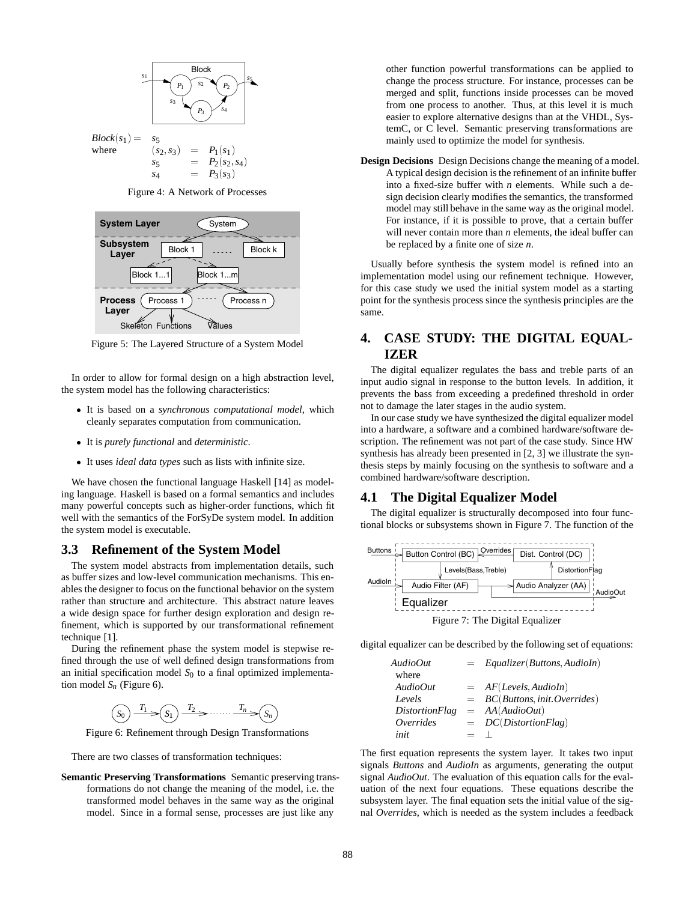

 $Block(s_1) = s_5$ <br>where  $(s_1)$  $(s_2, s_3) = P_1(s_1)$  $s_5 = P_2(s_2, s_4)$ <br> $s_4 = P_2(s_2)$  $s_4 = P_3(s_3)$ 

Figure 4: A Network of Processes



Figure 5: The Layered Structure of a System Model

In order to allow for formal design on a high abstraction level, the system model has the following characteristics:

- It is based on a *synchronous computational model*, which cleanly separates computation from communication.
- It is *purely functional* and *deterministic*.
- It uses *ideal data types* such as lists with infinite size.

We have chosen the functional language Haskell [14] as modeling language. Haskell is based on a formal semantics and includes many powerful concepts such as higher-order functions, which fit well with the semantics of the ForSyDe system model. In addition the system model is executable.

### **3.3 Refinement of the System Model**

The system model abstracts from implementation details, such as buffer sizes and low-level communication mechanisms. This enables the designer to focus on the functional behavior on the system rather than structure and architecture. This abstract nature leaves a wide design space for further design exploration and design refinement, which is supported by our transformational refinement technique [1].

During the refinement phase the system model is stepwise refined through the use of well defined design transformations from an initial specification model  $S_0$  to a final optimized implementation model  $S_n$  (Figure 6).

$$
(S_0) \xrightarrow{T_1} (S_1) \xrightarrow{T_2} \cdots \cdots \xrightarrow{T_n} (S_n)
$$

Figure 6: Refinement through Design Transformations

There are two classes of transformation techniques:

**Semantic Preserving Transformations** Semantic preserving transformations do not change the meaning of the model, i.e. the transformed model behaves in the same way as the original model. Since in a formal sense, processes are just like any

other function powerful transformations can be applied to change the process structure. For instance, processes can be merged and split, functions inside processes can be moved from one process to another. Thus, at this level it is much easier to explore alternative designs than at the VHDL, SystemC, or C level. Semantic preserving transformations are mainly used to optimize the model for synthesis.

**Design Decisions** Design Decisions change the meaning of a model. A typical design decision is the refinement of an infinite buffer into a fixed-size buffer with *n* elements. While such a design decision clearly modifies the semantics, the transformed model may still behave in the same way as the original model. For instance, if it is possible to prove, that a certain buffer will never contain more than *n* elements, the ideal buffer can be replaced by a finite one of size *n*.

Usually before synthesis the system model is refined into an implementation model using our refinement technique. However, for this case study we used the initial system model as a starting point for the synthesis process since the synthesis principles are the same.

# **4. CASE STUDY: THE DIGITAL EQUAL-IZER**

The digital equalizer regulates the bass and treble parts of an input audio signal in response to the button levels. In addition, it prevents the bass from exceeding a predefined threshold in order not to damage the later stages in the audio system.

In our case study we have synthesized the digital equalizer model into a hardware, a software and a combined hardware/software description. The refinement was not part of the case study. Since HW synthesis has already been presented in [2, 3] we illustrate the synthesis steps by mainly focusing on the synthesis to software and a combined hardware/software description.

#### **4.1 The Digital Equalizer Model**

The digital equalizer is structurally decomposed into four functional blocks or subsystems shown in Figure 7. The function of the



digital equalizer can be described by the following set of equations:

| AudioOut              | $=$ Equalizer (Buttons AudioIn)  |
|-----------------------|----------------------------------|
| where                 |                                  |
| AudioOut              | $= AF(Levels, AudioIn)$          |
| Levels                | $= BC(Buttons, init. Overrides)$ |
| <i>DistortionFlag</i> | $= AA(AudioOut)$                 |
| Overrides             | $= DC(DistortionFlag)$           |
| init                  |                                  |

The first equation represents the system layer. It takes two input signals *Buttons* and *AudioIn* as arguments, generating the output signal *AudioOut*. The evaluation of this equation calls for the evaluation of the next four equations. These equations describe the subsystem layer. The final equation sets the initial value of the signal *Overrides*, which is needed as the system includes a feedback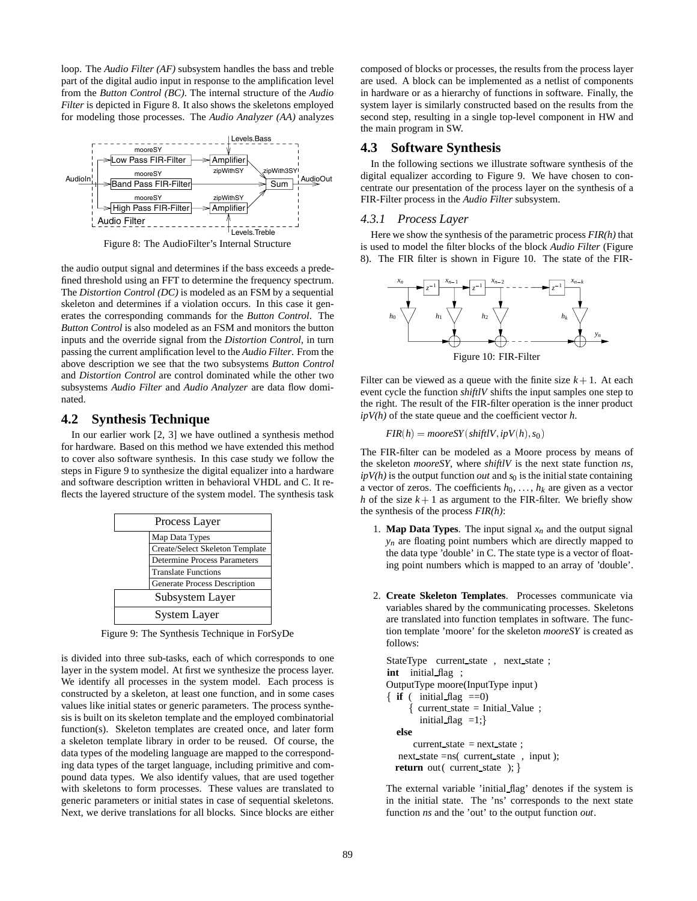loop. The *Audio Filter (AF)* subsystem handles the bass and treble part of the digital audio input in response to the amplification level from the *Button Control (BC)*. The internal structure of the *Audio Filter* is depicted in Figure 8. It also shows the skeletons employed for modeling those processes. The *Audio Analyzer (AA)* analyzes



Figure 8: The AudioFilter's Internal Structure

the audio output signal and determines if the bass exceeds a predefined threshold using an FFT to determine the frequency spectrum. The *Distortion Control (DC)* is modeled as an FSM by a sequential skeleton and determines if a violation occurs. In this case it generates the corresponding commands for the *Button Control*. The *Button Control* is also modeled as an FSM and monitors the button inputs and the override signal from the *Distortion Control*, in turn passing the current amplification level to the *Audio Filter*. From the above description we see that the two subsystems *Button Control* and *Distortion Control* are control dominated while the other two subsystems *Audio Filter* and *Audio Analyzer* are data flow dominated.

## **4.2 Synthesis Technique**

In our earlier work [2, 3] we have outlined a synthesis method for hardware. Based on this method we have extended this method to cover also software synthesis. In this case study we follow the steps in Figure 9 to synthesize the digital equalizer into a hardware and software description written in behavioral VHDL and C. It reflects the layered structure of the system model. The synthesis task

| Process Layer                       |                                     |  |
|-------------------------------------|-------------------------------------|--|
| Map Data Types                      |                                     |  |
|                                     | Create/Select Skeleton Template     |  |
| <b>Determine Process Parameters</b> |                                     |  |
|                                     | <b>Translate Functions</b>          |  |
|                                     | <b>Generate Process Description</b> |  |
| Subsystem Layer                     |                                     |  |
| <b>System Layer</b>                 |                                     |  |

Figure 9: The Synthesis Technique in ForSyDe

is divided into three sub-tasks, each of which corresponds to one layer in the system model. At first we synthesize the process layer. We identify all processes in the system model. Each process is constructed by a skeleton, at least one function, and in some cases values like initial states or generic parameters. The process synthesis is built on its skeleton template and the employed combinatorial function(s). Skeleton templates are created once, and later form a skeleton template library in order to be reused. Of course, the data types of the modeling language are mapped to the corresponding data types of the target language, including primitive and compound data types. We also identify values, that are used together with skeletons to form processes. These values are translated to generic parameters or initial states in case of sequential skeletons. Next, we derive translations for all blocks. Since blocks are either composed of blocks or processes, the results from the process layer are used. A block can be implemented as a netlist of components in hardware or as a hierarchy of functions in software. Finally, the system layer is similarly constructed based on the results from the second step, resulting in a single top-level component in HW and the main program in SW.

#### **4.3 Software Synthesis**

In the following sections we illustrate software synthesis of the digital equalizer according to Figure 9. We have chosen to concentrate our presentation of the process layer on the synthesis of a FIR-Filter process in the *Audio Filter* subsystem.

#### *4.3.1 Process Layer*

Here we show the synthesis of the parametric process *FIR(h)* that is used to model the filter blocks of the block *Audio Filter* (Figure 8). The FIR filter is shown in Figure 10. The state of the FIR-



Figure 10: FIR-Filter

Filter can be viewed as a queue with the finite size  $k + 1$ . At each event cycle the function *shiftlV* shifts the input samples one step to the right. The result of the FIR-filter operation is the inner product *ipV(h)* of the state queue and the coefficient vector *h*.

$$
FIR(h) = \text{mooreSY}(\text{shiftIV}, ipV(h), s_0)
$$

The FIR-filter can be modeled as a Moore process by means of the skeleton *mooreSY*, where *shiftlV* is the next state function *ns*,  $ipV(h)$  is the output function *out* and  $s<sub>0</sub>$  is the initial state containing a vector of zeros. The coefficients  $h_0, \ldots, h_k$  are given as a vector *h* of the size  $k + 1$  as argument to the FIR-filter. We briefly show the synthesis of the process *FIR(h)*:

- 1. **Map Data Types**. The input signal  $x_n$  and the output signal *yn* are floating point numbers which are directly mapped to the data type 'double' in C. The state type is a vector of floating point numbers which is mapped to an array of 'double'.
- 2. **Create Skeleton Templates**. Processes communicate via variables shared by the communicating processes. Skeletons are translated into function templates in software. The function template 'moore' for the skeleton *mooreSY* is created as follows:

```
StateType current_state, next_state;
int initial flag ;
OutputType moore(InputType input)
\{ \text{if} \in \text{initial\_flag} == 0 \}current\_state = Initial\_Value;
        initial flag =1;}
  else
       current state = next_state ;
   next state =ns( current state , input );
  return out( current state ); }
```
The external variable 'initial flag' denotes if the system is in the initial state. The 'ns' corresponds to the next state function *ns* and the 'out' to the output function *out*.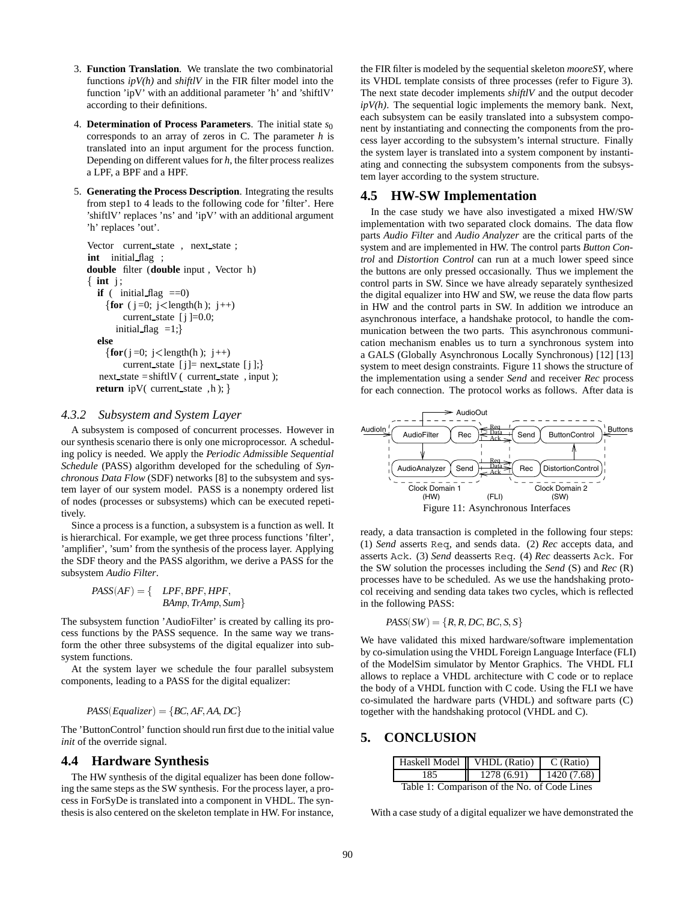- 3. **Function Translation**. We translate the two combinatorial functions  $ipV(h)$  and *shiftlV* in the FIR filter model into the function 'ipV' with an additional parameter 'h' and 'shiftlV' according to their definitions.
- 4. **Determination of Process Parameters**. The initial state *s*<sup>0</sup> corresponds to an array of zeros in C. The parameter *h* is translated into an input argument for the process function. Depending on different values for *h*, the filter process realizes a LPF, a BPF and a HPF.
- 5. **Generating the Process Description**. Integrating the results from step1 to 4 leads to the following code for 'filter'. Here 'shiftlV' replaces 'ns' and 'ipV' with an additional argument 'h' replaces 'out'.

```
Vector current_state, next_state;
int initial flag ;
double filter (double input , Vector h)
\{ int j;
  if ( initial flag ==0)
     \{ for (j = 0; j < length(h); j++)current state [i] = 0.0;initial flag =1;}
  else
     \{for(i=0; j <length(h); j++)current state [i]= next state [i];
   next state =shiftlV ( current state , input );
  return ipV( current state, h); \}
```
# *4.3.2 Subsystem and System Layer*

A subsystem is composed of concurrent processes. However in our synthesis scenario there is only one microprocessor. A scheduling policy is needed. We apply the *Periodic Admissible Sequential Schedule* (PASS) algorithm developed for the scheduling of *Synchronous Data Flow* (SDF) networks [8] to the subsystem and system layer of our system model. PASS is a nonempty ordered list of nodes (processes or subsystems) which can be executed repetitively.

Since a process is a function, a subsystem is a function as well. It is hierarchical. For example, we get three process functions 'filter', 'amplifier', 'sum' from the synthesis of the process layer. Applying the SDF theory and the PASS algorithm, we derive a PASS for the subsystem *Audio Filter*.

> $PASS(AF) = \{$  *LPF*; *BPF*; *HPF*; *BAmp*, *TrAmp*, *Sum*}

The subsystem function 'AudioFilter' is created by calling its process functions by the PASS sequence. In the same way we transform the other three subsystems of the digital equalizer into subsystem functions.

At the system layer we schedule the four parallel subsystem components, leading to a PASS for the digital equalizer:

#### $PASS(Equalizer) = {BC, AF, AA, DC}$

The 'ButtonControl' function should run first due to the initial value *init* of the override signal.

#### **4.4 Hardware Synthesis**

The HW synthesis of the digital equalizer has been done following the same steps as the SW synthesis. For the process layer, a process in ForSyDe is translated into a component in VHDL. The synthesis is also centered on the skeleton template in HW. For instance,

the FIR filter is modeled by the sequential skeleton *mooreSY*, where its VHDL template consists of three processes (refer to Figure 3). The next state decoder implements *shiftlV* and the output decoder *ipV(h)*. The sequential logic implements the memory bank. Next, each subsystem can be easily translated into a subsystem component by instantiating and connecting the components from the process layer according to the subsystem's internal structure. Finally the system layer is translated into a system component by instantiating and connecting the subsystem components from the subsystem layer according to the system structure.

## **4.5 HW-SW Implementation**

In the case study we have also investigated a mixed HW/SW implementation with two separated clock domains. The data flow parts *Audio Filter* and *Audio Analyzer* are the critical parts of the system and are implemented in HW. The control parts *Button Control* and *Distortion Control* can run at a much lower speed since the buttons are only pressed occasionally. Thus we implement the control parts in SW. Since we have already separately synthesized the digital equalizer into HW and SW, we reuse the data flow parts in HW and the control parts in SW. In addition we introduce an asynchronous interface, a handshake protocol, to handle the communication between the two parts. This asynchronous communication mechanism enables us to turn a synchronous system into a GALS (Globally Asynchronous Locally Synchronous) [12] [13] system to meet design constraints. Figure 11 shows the structure of the implementation using a sender *Send* and receiver *Rec* process for each connection. The protocol works as follows. After data is



ready, a data transaction is completed in the following four steps: (1) *Send* asserts Req, and sends data. (2) *Rec* accepts data, and asserts Ack. (3) *Send* deasserts Req. (4) *Rec* deasserts Ack. For the SW solution the processes including the *Send* (S) and *Rec* (R) processes have to be scheduled. As we use the handshaking protocol receiving and sending data takes two cycles, which is reflected in the following PASS:

$$
PASS(SW) = \{R, R, DC, BC, S, S\}
$$

We have validated this mixed hardware/software implementation by co-simulation using the VHDL Foreign Language Interface (FLI) of the ModelSim simulator by Mentor Graphics. The VHDL FLI allows to replace a VHDL architecture with C code or to replace the body of a VHDL function with C code. Using the FLI we have co-simulated the hardware parts (VHDL) and software parts (C) together with the handshaking protocol (VHDL and C).

## **5. CONCLUSION**

|                                              | Haskell Model   VHDL (Ratio) | C (Ratio)   |  |  |  |
|----------------------------------------------|------------------------------|-------------|--|--|--|
| 185.                                         | 1278(6.91)                   | 1420 (7.68) |  |  |  |
| Table 1: Comparison of the No. of Code Lines |                              |             |  |  |  |

With a case study of a digital equalizer we have demonstrated the